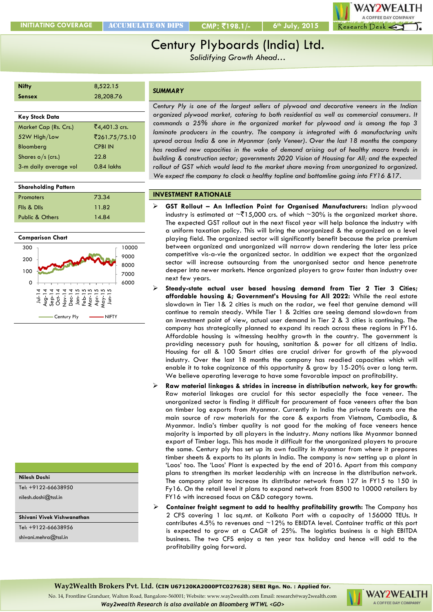**INITIATING COVERAGE** ACCUMULATE on dips **CMP**: `**198.1/- 6th July, 2015**



# Century Plyboards (India) Ltd.

*Solidifying Growth Ahead…*

| <b>Nifty</b>          | 8,522.15       |
|-----------------------|----------------|
| <b>Sensex</b>         | 28,208.76      |
|                       |                |
| <b>Key Stock Data</b> |                |
|                       |                |
| Market Cap (Rs. Crs.) | ₹4,401.3 crs.  |
| 52W High/Low          | ₹261.75/75.10  |
| Bloomberg             | <b>CPBI IN</b> |

Nov-14 Dec-14 Jan-15 Feb-15 Mar-15 Apr-15 May-15 Jun-15

Century Ply **----------** NIFTY

3-m daily average vol 0.84 lakhs

Promoters 73.34 FIIs & DIIs 11.82 Public & Others 14.84

**Shareholding Pattern**

**Comparison Chart**

> $\overline{2}$ Aug-14  $Sep-14$  $\bar{8}$

*SUMMARY*

*Century Ply is one of the largest sellers of plywood and decorative veneers in the Indian organized plywood market, catering to both residential as well as commercial consumers. It commands a 25% share in the organized market for plywood and is among the top 3 laminate producers in the country. The company is integrated with 6 manufacturing units spread across India & one in Myanmar (only Veneer). Over the last 18 months the company has readied new capacities in the wake of demand arising out of healthy macro trends in building & construction sector; governments 2020 Vision of Housing for All; and the expected rollout of GST which would lead to the market share moving from unorganized to organized. We expect the company to clock a healthy topline and bottomline going into FY16 &17.*

# **INVESTMENT RATIONALE**

- **GST Rollout – An Inflection Point for Organised Manufacturers:** Indian plywood industry is estimated at  $\sim$ ₹15,000 crs. of which  $\sim$ 30% is the organized market share. The expected GST rollout out in the next fiscal year will help balance the industry with a uniform taxation policy. This will bring the unorganized & the organized on a level playing field. The organized sector will significantly benefit because the price premium between organized and unorganized will narrow down rendering the later less price competitive vis-a-vie the organized sector. In addition we expect that the organized sector will increase outsourcing from the unorganised sector and hence penetrate deeper into newer markets. Hence organized players to grow faster than industry over next few years.
- **Steady-state actual user based housing demand from Tier 2 Tier 3 Cities; affordable housing &; Government's Housing for All 2022:** While the real estate slowdown in Tier 1& 2 cities is much on the radar, we feel that genuine demand will continue to remain steady. While Tier 1 & 2cities are seeing demand slowdown from an investment point of view, actual user demand in Tier 2 & 3 cities is continuing. The company has strategically planned to expand its reach across these regions in FY16. Affordable housing is witnessing healthy growth in the country. The government is providing necessary push for housing, sanitation & power for all citizens of India. Housing for all & 100 Smart cities are crucial driver for growth of the plywood industry. Over the last 18 months the company has readied capacities which will enable it to take cognizance of this opportunity & grow by 15-20% over a long term. We believe operating leverage to have some favorable impact on profitability.
- **Raw material linkages & strides in increase in distribution network, key for growth**: Raw material linkages are crucial for this sector especially the face veneer. The unorganized sector is finding it difficult for procurement of face veneers after the ban on timber log exports from Myanmar. Currently in India the private forests are the main source of raw materials for the core & exports from Vietnam, Cambodia, & Myanmar. India's timber quality is not good for the making of face veneers hence majority is imported by all players in the industry. Many nations like Myanmar banned export of Timber logs. This has made it difficult for the unorganized players to procure the same. Century ply has set up its own facility in Myanmar from where it prepares timber sheets & exports to its plants in India. The company is now setting up a plant in 'Laos' too. The 'Laos' Plant is expected by the end of 2016. Apart from this company plans to strengthen its market leadership with an increase in the distribution network. The company plant to increase its distributor network from 127 in FY15 to 150 in Fy16. On the retail level it plans to expand network from 8500 to 10000 retailers by FY16 with increased focus on C&D category towns.
- **Container freight segment to add to healthy profitability growth:** The Company has 2 CFS covering 1 lac sq.mt. at Kolkata Port with a capacity of 156000 TEUs. It contributes 4.5% to revenues and ~12% to EBIDTA level. Container traffic at this port is expected to grow at a CAGR of 25%. The logistics business is a high EBITDA business. The two CFS enjoy a ten year tax holiday and hence will add to the profitability going forward.
- **Way2Wealth Brokers Pvt. Ltd. (CIN U67120KA2000PTC027628) SEBI Rgn. No. : Applied for.**

No. 14, Frontline Granduer, Walton Road, Bangalore-560001; Website: www.way2wealth.com Email: research@way2wealth.com

*Way2wealth Research is also available on Bloomberg WTWL <GO>*



#### **Nilesh Doshi**

Tel: +9122-66638950 nilesh.doshi@tssl.in

#### **Shivani Vivek Vishwanathan**

Tel: +9122-66638956

shivani.mehra@tssl.in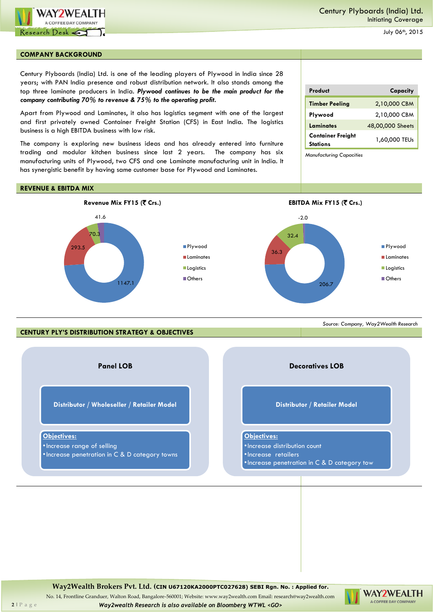

#### **COMPANY BACKGROUND**

Century Plyboards (India) Ltd. is one of the leading players of Plywood in India since 28 years; with PAN India presence and robust distribution network. It also stands among the top three laminate producers in India. *Plywood continues to be the main product for the company contributing 70% to revenue & 75% to the operating profit.*

Apart from Plywood and Laminates, it also has logistics segment with one of the largest and first privately owned Container Freight Station (CFS) in East India. The logistics business is a high EBITDA business with low risk.

The company is exploring new business ideas and has already entered into furniture trading and modular kitchen business since last 2 years. The company has six manufacturing units of Plywood, two CFS and one Laminate manufacturing unit in India. It has synergistic benefit by having same customer base for Plywood and Laminates.

# **Product Capacity Timber Peeling** 2,10,000 CBM **Plywood** 2,10,000 CBM Laminates 48,00,000 Sheets **Container Freight Stations** 1,60,000 TEUs

*Source: Company, Way2Wealth Research*

*Manufacturing Capacities*

## **REVENUE & EBITDA MIX**



**CENTURY PLY'S DISTRIBUTION STRATEGY & OBJECTIVES**

**Panel LOB Distributor / Wholeseller / Retailer Model Objectives:** •Increase range of selling •Increase penetration in C & D category towns **Decoratives LOB Distributor / Retailer Model Objectives:** •Increase distribution count •Increase retailers •Increase penetration in C & D category tow

**Way2Wealth Brokers Pvt. Ltd. (CIN U67120KA2000PTC027628) SEBI Rgn. No. : Applied for.**

WAY2WEALTH A COFFEE DAY COMPANY

No. 14, Frontline Granduer, Walton Road, Bangalore-560001; Website: www.way2wealth.com Email: research@way2wealth.com **2** | P a g e *Way2wealth Research is also available on Bloomberg WTWL <GO>*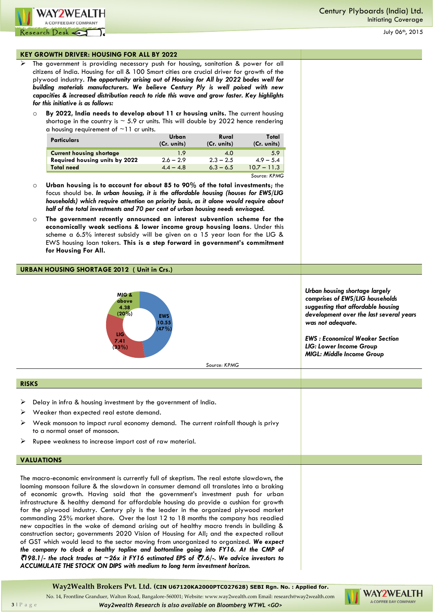

#### **KEY GROWTH DRIVER: HOUSING FOR ALL BY 2022**

- The government is providing necessary push for housing, sanitation & power for all citizens of India. Housing for all & 100 Smart cities are crucial driver for growth of the plywood industry. *The opportunity arising out of Housing for All by 2022 bodes well for building materials manufacturers. We believe Century Ply is well poised with new capacities & increased distribution reach to ride this wave and grow faster. Key highlights for this initiative is as follows:*
	- o **By 2022, India needs to develop about 11 cr housing units.** The current housing shortage in the country is  $\sim$  5.9 cr units. This will double by 2022 hence rendering a housing requirement of  $\sim$ 11 cr units.

| <b>Particulars</b>              | Urban<br>(Cr. units) | Rural<br>(Cr. units) | Total<br>(Cr. units) |
|---------------------------------|----------------------|----------------------|----------------------|
| <b>Current housing shortage</b> | 1.9                  | 4.0                  | 5.9                  |
| Required housing units by 2022  | $2.6 - 2.9$          | $2.3 - 2.5$          | $4.9 - 5.4$          |
| <b>Total need</b>               | $4.4 - 4.8$          | $6.3 - 6.5$          | $10.7 - 11.3$        |
|                                 |                      |                      | Source: KPMG         |

- o **Urban housing is to account for about 85 to 90% of the total investments**; the focus should be. *In urban housing, it is the affordable housing (houses for EWS/LIG households) which require attention on priority basis, as it alone would require about half of the total investments and 70 per cent of urban housing needs envisaged.*
- o **The government recently announced an interest subvention scheme for the economically weak sections & lower income group housing loans**. Under this scheme a 6.5% interest subsidy will be given on a 15 year loan for the LIG & EWS housing loan takers. **This is a step forward in government's commitment for Housing For All.**

## **URBAN HOUSING SHORTAGE 2012 ( Unit in Crs.)**



*Source: KPMG*

*Urban housing shortage largely comprises of EWS/LIG households suggesting that affordable housing development over the last several years was not adequate.*

*EWS : Economical Weaker Section LIG: Lower Income Group MIGL: Middle Income Group*

#### **RISKS**

- Delay in infra & housing investment by the government of India.
- $\triangleright$  Weaker than expected real estate demand.
- $\triangleright$  Weak monsoon to impact rural economy demand. The current rainfall though is privy to a normal onset of monsoon.
- Rupee weakness to increase import cost of raw material.

#### **VALUATIONS**

The macro-economic environment is currently full of skeptism. The real estate slowdown, the looming monsoon failure & the slowdown in consumer demand all translates into a braking of economic growth. Having said that the government's investment push for urban infrastructure & healthy demand for affordable housing do provide a cushion for growth for the plywood industry. Century ply is the leader in the organized plywood market commanding 25% market share. Over the last 12 to 18 months the company has readied new capacities in the wake of demand arising out of healthy macro trends in building & construction sector; governments 2020 Vision of Housing for All; and the expected rollout of GST which would lead to the sector moving from unorganized to organized. *We expect the company to clock a healthy topline and bottomline going into FY16. At the CMP of*  `*198.1/- the stock trades at ~26x it FY16 estimated EPS of* `*7.6/-. We advice investors to ACCUMULATE THE STOCK ON DIPS with medium to long term investment horizon.*

**Way2Wealth Brokers Pvt. Ltd. (CIN U67120KA2000PTC027628) SEBI Rgn. No. : Applied for.**

No. 14, Frontline Granduer, Walton Road, Bangalore-560001; Website: www.way2wealth.com Email: research@way2wealth.com



**3** | P a g e *Way2wealth Research is also available on Bloomberg WTWL <GO>*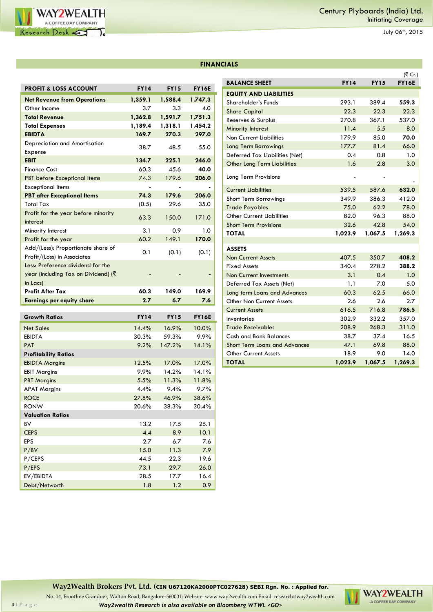

| <b>FINANCIALS</b> |  |  |
|-------------------|--|--|
|                   |  |  |

| <b>PROFIT &amp; LOSS ACCOUNT</b>             | <b>FY14</b> | <b>FY15</b> | <b>FY16E</b> |
|----------------------------------------------|-------------|-------------|--------------|
| <b>Net Revenue from Operations</b>           | 1,359.1     | 1,588.4     | 1,747.3      |
| Other Income                                 | 3.7         | 3.3         | 4.0          |
| <b>Total Revenue</b>                         | 1,362.8     | 1,591.7     | 1,751.3      |
| <b>Total Expenses</b>                        | 1,189.4     | 1,318.1     | 1,454.2      |
| <b>EBIDTA</b>                                | 169.7       | 270.3       | 297.0        |
| Depreciation and Amortisation                | 38.7        | 48.5        | 55.0         |
| Expense                                      |             |             |              |
| <b>EBIT</b>                                  | 134.7       | 225.1       | 246.0        |
| <b>Finance Cost</b>                          | 60.3        | 45.6        | 40.0         |
| <b>PBT</b> before Exceptional Items          | 74.3        | 179.6       | 206.0        |
| <b>Exceptional Items</b>                     |             |             |              |
| <b>PBT after Exceptional Items</b>           | 74.3        | 179.6       | 206.0        |
| Total Tax                                    | (0.5)       | 29.6        | 35.0         |
| Profit for the year before minority          | 63.3        | 150.0       | 171.0        |
| interest                                     |             |             |              |
| Minority Interest                            | 3.1         | 0.9         | 1.0          |
| Profit for the year                          | 60.2        | 149.1       | 170.0        |
| Add/(Less): Proportionate share of           | 0.1         | (0.1)       | (0.1)        |
| Profit/(Loss) in Associates                  |             |             |              |
| Less: Preference dividend for the            |             |             |              |
| year (including Tax on Dividend) ( $\bar{z}$ |             |             |              |
| in Lacs)                                     |             |             |              |
| <b>Profit After Tax</b>                      | 60.3        | 149.0       | 169.9        |
| <b>Earnings per equity share</b>             | 2.7         | 6.7         | 7.6          |
| <b>Growth Ratios</b>                         | <b>FY14</b> | <b>FY15</b> | <b>FY16E</b> |
| <b>Net Sales</b>                             | 14.4%       | 16.9%       | 10.0%        |
| EBIDTA                                       | 30.3%       | 59.3%       | 9.9%         |
| <b>PAT</b>                                   | 9.2%        | 147.2%      | 14.1%        |
| <b>Profitability Ratios</b>                  |             |             |              |
| <b>EBIDTA Margins</b>                        | 12.5%       | 17.0%       | 17.0%        |
| <b>EBIT Margins</b>                          | 9.9%        | 14.2%       | 14.1%        |
| <b>PBT Margins</b>                           |             |             |              |
|                                              | 5.5%        | 11.3%       | 11.8%        |
| <b>APAT Margins</b>                          | 4.4%        | 9.4%        | $9.7\%$      |
| <b>ROCE</b>                                  | 27.8%       | 46.9%       | 38.6%        |
| <b>RONW</b>                                  | 20.6%       | 38.3%       | 30.4%        |
| <b>Valuation Ratios</b>                      |             |             |              |
| BV                                           | 13.2        | 17.5        | 25.1         |
| <b>CEPS</b>                                  | 4.4         | 8.9         | 10.1         |
| EPS                                          | 2.7         | 6.7         | 7.6          |
| P/BV                                         | 15.0        | 11.3        | 7.9          |
| P/CEPS                                       | 44.5        | 22.3        | 19.6         |
| P/EPS                                        | 73.1        | 29.7        | 26.0         |
| EV/EBIDTA                                    | 28.5        | 17.7        | 16.4         |

|                                      |             |             | (₹ Cr.)      |
|--------------------------------------|-------------|-------------|--------------|
| <b>BALANCE SHEET</b>                 | <b>FY14</b> | <b>FY15</b> | <b>FY16E</b> |
| <b>EQUITY AND LIABILITIES</b>        |             |             |              |
| Shareholder's Funds                  | 293.1       | 389.4       | 559.3        |
| <b>Share Capital</b>                 | 22.3        | 22.3        | 22.3         |
| Reserves & Surplus                   | 270.8       | 367.1       | 537.0        |
| <b>Minority Interest</b>             | 11.4        | 5.5         | 8.0          |
| <b>Non Current Liabilities</b>       | 179.9       | 85.0        | 70.0         |
| <b>Long Term Borrowings</b>          | 177.7       | 81.4        | 66.0         |
| Deferred Tax Liabilities (Net)       | 0.4         | 0.8         | 1.0          |
| Other Long Term Liabilities          | 1.6         | 2.8         | 3.0          |
| Long Term Provisions                 |             |             |              |
| <b>Current Liabilities</b>           | 539.5       | 587.6       | 632.0        |
| Short Term Borrowings                | 349.9       | 386.3       | 412.0        |
| <b>Trade Payables</b>                | 75.0        | 62.2        | 78.0         |
| <b>Other Current Liabilities</b>     | 82.0        | 96.3        | 88.0         |
| <b>Short Term Provisions</b>         | 32.6        | 42.8        | 54.0         |
| <b>TOTAL</b>                         | 1,023.9     | 1,067.5     | 1,269.3      |
|                                      |             |             |              |
| <b>ASSETS</b>                        |             |             |              |
| <b>Non Current Assets</b>            | 407.5       | 350.7       | 408.2        |
| <b>Fixed Assets</b>                  | 340.4       | 278.2       | 388.2        |
| <b>Non Current Investments</b>       | 3.1         | 0.4         | 1.0          |
| Deferred Tax Assets (Net)            | 1.1         | 7.0         | 5.0          |
| Long term Loans and Advances         | 60.3        | 62.5        | 66.0         |
| Other Non Current Assets             | 2.6         | 2.6         | 2.7          |
| <b>Current Assets</b>                | 616.5       | 716.8       | 786.5        |
| Inventories                          | 302.9       | 332.2       | 357.0        |
| <b>Trade Receivables</b>             | 208.9       | 268.3       | 311.0        |
| Cash and Bank Balances               | 38.7        | 37.4        | 16.5         |
| <b>Short Term Loans and Advances</b> | 47.1        | 69.8        | 88.0         |
| <b>Other Current Assets</b>          | 18.9        | 9.0         | 14.0         |
| <b>TOTAL</b>                         | 1,023.9     | 1,067.5     | 1,269.3      |

**Way2Wealth Brokers Pvt. Ltd. (CIN U67120KA2000PTC027628) SEBI Rgn. No. : Applied for.**

No. 14, Frontline Granduer, Walton Road, Bangalore-560001; Website: www.way2wealth.com Email: research@way2wealth.com **4** | P a g e *Way2wealth Research is also available on Bloomberg WTWL <GO>*

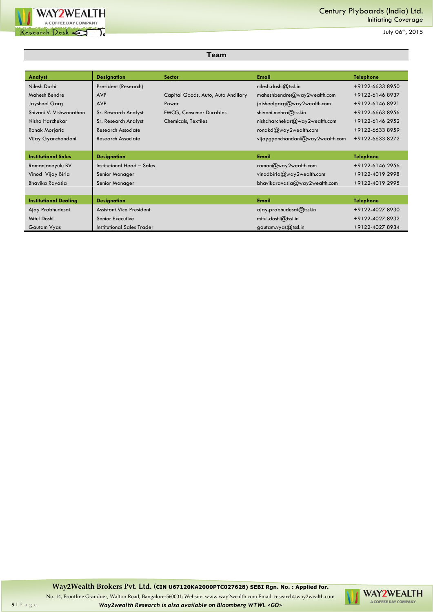

| Analyst                      | <b>Designation</b>              | <b>Sector</b>                       | <b>Email</b>                     | <b>Telephone</b> |
|------------------------------|---------------------------------|-------------------------------------|----------------------------------|------------------|
| Nilesh Doshi                 | President (Research)            |                                     | nilesh.dosh(@tsslin              | +9122-6633 8950  |
| <b>Mahesh Bendre</b>         | <b>AVP</b>                      | Capital Goods, Auto, Auto Ancillary | maheshbendre@way2wealth.com      | +9122-61468937   |
| Jaysheel Garg                | <b>AVP</b>                      | Power                               | jaisheelgarg@way2wealth.com      | +9122-61468921   |
| Shivani V. Vishwanathan      | Sr. Research Analyst            | <b>FMCG, Consumer Durables</b>      | shivani.mehra@tssl.in            | +9122-6663 8956  |
| Nisha Harchekar              | Sr. Research Analyst            | <b>Chemicals, Textiles</b>          | nishaharchekar@way2wealth.com    | +9122-6146 2952  |
| Ronak Morjaria               | Research Associate              |                                     | ronakd $@$ way2wealth.com        | +9122-6633 8959  |
| Vijay Gyanchandani           | Research Associate              |                                     | vijaygyanchandani@way2wealth.com | +9122-6633 8272  |
|                              |                                 |                                     |                                  |                  |
| <b>Institutional Sales</b>   | <b>Designation</b>              |                                     | <b>Email</b>                     | <b>Telephone</b> |
| Ramanjaneyulu BV             | Institutional Head - Sales      |                                     | raman $@$ way2wealth.com         | +9122-6146 2956  |
| Vinod Vijay Birla            | Senior Manager                  |                                     | vinodbirla@way2wealth.com        | +9122-4019 2998  |
| Bhavika Ravasia              | Senior Manager                  |                                     | bhavikaravasia@way2wealth.com    | +9122-4019 2995  |
|                              |                                 |                                     |                                  |                  |
| <b>Institutional Dealing</b> | <b>Designation</b>              |                                     | <b>Email</b>                     | <b>Telephone</b> |
| Ajay Prabhudesai             | <b>Assistant Vice President</b> |                                     | $q$ iay.prabhudesai $@$ tssl.in  | +9122-4027 8930  |
| Mitul Doshi                  | Senior Executive                |                                     | $mitul.dosh@t$ tssl.in           | +9122-4027 8932  |
| Gautam Vyas                  | Institutional Sales Trader      |                                     | gautam.vyas $@$ tssl.in          | +9122-4027 8934  |

**Team**

**Way2Wealth Brokers Pvt. Ltd. (CIN U67120KA2000PTC027628) SEBI Rgn. No. : Applied for.**

No. 14, Frontline Granduer, Walton Road, Bangalore-560001; Website: www.way2wealth.com Email: research@way2wealth.com **5** | P a g e *Way2wealth Research is also available on Bloomberg WTWL <GO>*